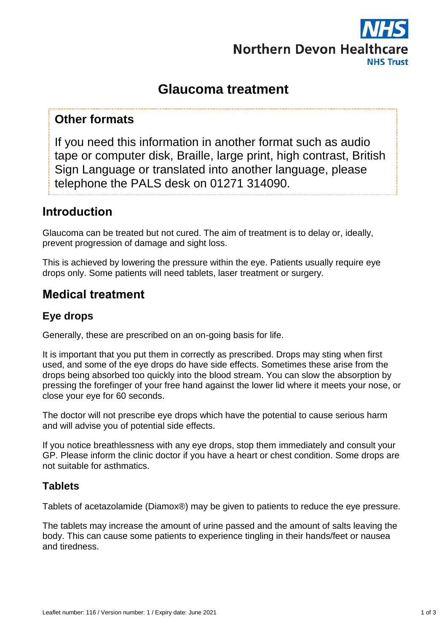

# **Glaucoma treatment**

### **Other formats**

If you need this information in another format such as audio tape or computer disk, Braille, large print, high contrast, British Sign Language or translated into another language, please telephone the PALS desk on 01271 314090.

### **Introduction**

Glaucoma can be treated but not cured. The aim of treatment is to delay or, ideally, prevent progression of damage and sight loss.

This is achieved by lowering the pressure within the eye. Patients usually require eye drops only. Some patients will need tablets, laser treatment or surgery.

## **Medical treatment**

### **Eye drops**

Generally, these are prescribed on an on-going basis for life.

It is important that you put them in correctly as prescribed. Drops may sting when first used, and some of the eye drops do have side effects. Sometimes these arise from the drops being absorbed too quickly into the blood stream. You can slow the absorption by pressing the forefinger of your free hand against the lower lid where it meets your nose, or close your eye for 60 seconds.

The doctor will not prescribe eye drops which have the potential to cause serious harm and will advise you of potential side effects.

If you notice breathlessness with any eye drops, stop them immediately and consult your GP. Please inform the clinic doctor if you have a heart or chest condition. Some drops are not suitable for asthmatics.

#### **Tablets**

Tablets of acetazolamide (Diamox®) may be given to patients to reduce the eye pressure.

The tablets may increase the amount of urine passed and the amount of salts leaving the body. This can cause some patients to experience tingling in their hands/feet or nausea and tiredness.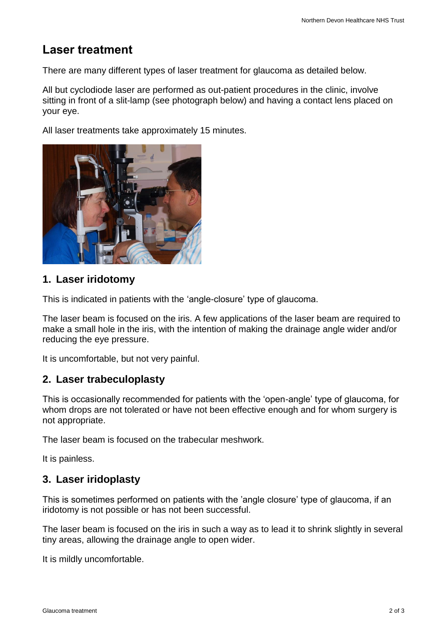## **Laser treatment**

There are many different types of laser treatment for glaucoma as detailed below.

All but cyclodiode laser are performed as out-patient procedures in the clinic, involve sitting in front of a slit-lamp (see photograph below) and having a contact lens placed on your eye.

All laser treatments take approximately 15 minutes.



#### **1. Laser iridotomy**

This is indicated in patients with the 'angle-closure' type of glaucoma.

The laser beam is focused on the iris. A few applications of the laser beam are required to make a small hole in the iris, with the intention of making the drainage angle wider and/or reducing the eye pressure.

It is uncomfortable, but not very painful.

#### **2. Laser trabeculoplasty**

This is occasionally recommended for patients with the 'open-angle' type of glaucoma, for whom drops are not tolerated or have not been effective enough and for whom surgery is not appropriate.

The laser beam is focused on the trabecular meshwork.

It is painless.

#### **3. Laser iridoplasty**

This is sometimes performed on patients with the 'angle closure' type of glaucoma, if an iridotomy is not possible or has not been successful.

The laser beam is focused on the iris in such a way as to lead it to shrink slightly in several tiny areas, allowing the drainage angle to open wider.

It is mildly uncomfortable.